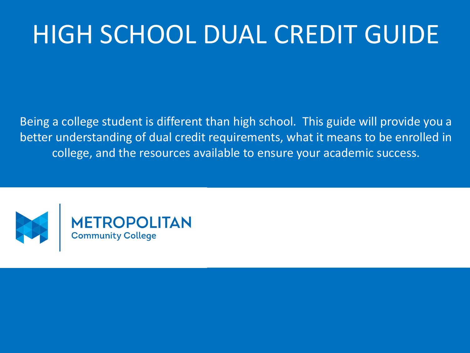# HIGH SCHOOL DUAL CREDIT GUIDE

Being a college student is different than high school. This guide will provide you a better understanding of dual credit requirements, what it means to be enrolled in college, and the resources available to ensure your academic success.

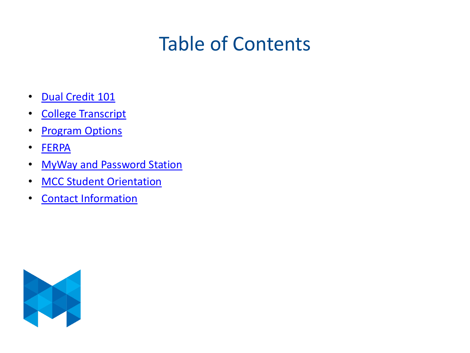## Table of Contents

- [Dual Credit 101](#page-2-0)
- College [Transcript](#page-3-0)
- **[Program](#page-4-0) Options**
- [FERPA](#page-5-0)
- [MyWay and Password Station](#page-6-0)
- [MCC Student Orientation](#page-7-0)
- [Contact Information](#page-8-0)

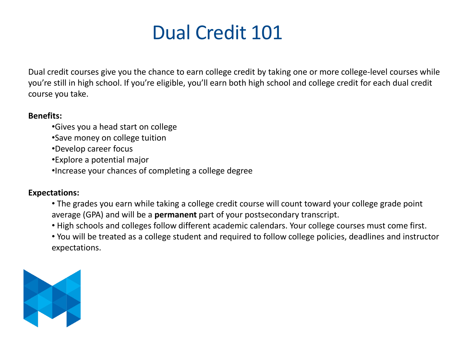

<span id="page-2-0"></span>Dual credit courses give you the chance to earn college credit by taking one or more college-level courses while you're still in high school. If you're eligible, you'll earn both high school and college credit for each dual credit course you take.

#### **Benefits:**

- •Gives you a head start on college
- •Save money on college tuition
- •Develop career focus
- •Explore a potential major
- •Increase your chances of completing a college degree

#### **Expectations:**

- The grades you earn while taking a college credit course will count toward your college grade point average (GPA) and will be a **permanent** part of your postsecondary transcript.
- High schools and colleges follow different academic calendars. Your college courses must come first.
- You will be treated as a college student and required to follow college policies, deadlines and instructor expectations.

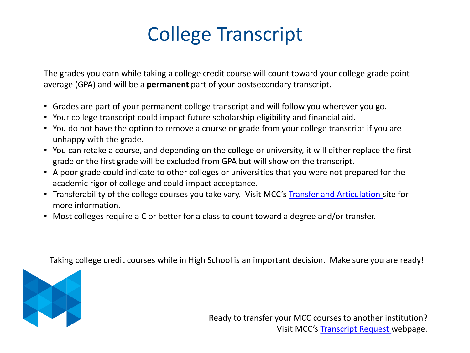## College Transcript

<span id="page-3-0"></span>The grades you earn while taking a college credit course will count toward your college grade point average (GPA) and will be a **permanent** part of your postsecondary transcript.

- Grades are part of your permanent college transcript and will follow you wherever you go.
- Your college transcript could impact future scholarship eligibility and financial aid.
- You do not have the option to remove a course or grade from your college transcript if you are unhappy with the grade.
- You can retake a course, and depending on the college or university, it will either replace the first grade or the first grade will be excluded from GPA but will show on the transcript.
- A poor grade could indicate to other colleges or universities that you were not prepared for the academic rigor of college and could impact acceptance.
- Transferability of the college courses you take vary. Visit MCC's [Transfer and Articulation](https://www.mccneb.edu/Current-Students/Transfer-from-MCC/Transfer-Information-by-School) site for more information.
- Most colleges require a C or better for a class to count toward a degree and/or transfer.

Taking college credit courses while in High School is an important decision. Make sure you are ready!



Ready to transfer your MCC courses to another institution? Visit MCC's [Transcript Request w](https://www.mccneb.edu/Current-Students/Current-Students-Resources/Records/Transcript-Request)ebpage.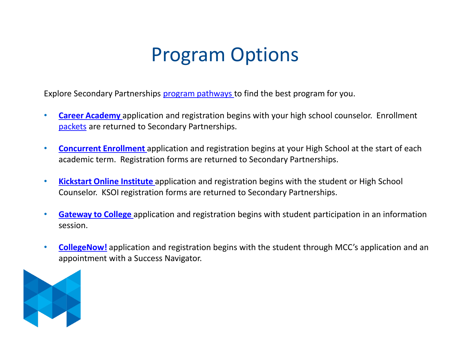### Program Options

<span id="page-4-0"></span>Explore Secondary Partnerships [program pathways t](https://www.mccneb.edu/secondarypartnerships)o find the best program for you.

- **[Career Academy](https://www.mccneb.edu/Prospective-Students/Enrollment/Secondary-Partnerships/Career-Academy)** application and registration begins with your high school counselor. Enrollment [packets](https://www.mccneb.edu/Prospective-Students/Enrollment/Secondary-Partnerships/Career-Academy) are returned to Secondary Partnerships.
- **[Concurrent Enrollment](https://mccneb.edu/Prospective-Students/Is-MCC-Right-for-ME/Enrollment/Secondary-Partnerships/Dual-Enrollment)** application and registration begins at your High School at the start of each academic term. Registration forms are returned to Secondary Partnerships.
- **[Kickstart Online Institute](https://www.mccneb.edu/Current-Students/Enrollment/Secondary-Partnerships/Kickstart-Online-Institute)** application and registration begins with the student or High School Counselor. KSOI registration forms are returned to Secondary Partnerships.
- **[Gateway to College](https://www.mccneb.edu/Prospective-Students/Is-MCC-Right-for-ME/Enrollment/Gateway-to-College)** application and registration begins with student participation in an information session.
- **[CollegeNow!](https://www.mccneb.edu/Prospective-Students/Enrollment/Secondary-Partnerships/College-Now)** application and registration begins with the student through MCC's application and an appointment with a Success Navigator.

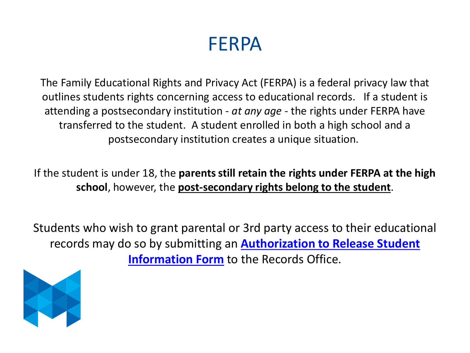#### FERPA

<span id="page-5-0"></span>The Family Educational Rights and Privacy Act (FERPA) is a federal privacy law that outlines students rights concerning access to educational records. If a student is attending a postsecondary institution - *at any age* - the rights under FERPA have transferred to the student. A student enrolled in both a high school and a postsecondary institution creates a unique situation.

If the student is under 18, the **parents still retain the rights under FERPA at the high school**, however, the **post-secondary rights belong to the student**.

Students who wish to grant parental or 3rd party access to their educational records may do so by submitting an **[Authorization to Release Student](https://mccnebcentral.etrieve.cloud/#/form/59)  Information Form** to the Records Office.

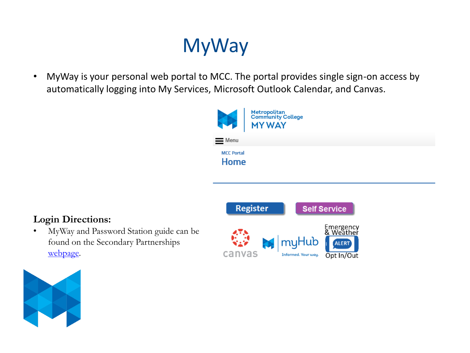## MyWay

<span id="page-6-0"></span>• MyWay is your personal web portal to MCC. The portal provides single sign-on access by automatically logging into My Services, Microsoft Outlook Calendar, and Canvas.



#### **Login Directions:**

• MyWay and Password Station guide can be found on the Secondary Partnerships [webpage.](https://mccneb.edu/getattachment/Prospective-Students/Start-Here/Enrollment-Resources/Secondary-Partnerships/MCC-College-Now-Information/College-Now/MyWay_Guide-(3).pdf.aspx?lang=en-US)



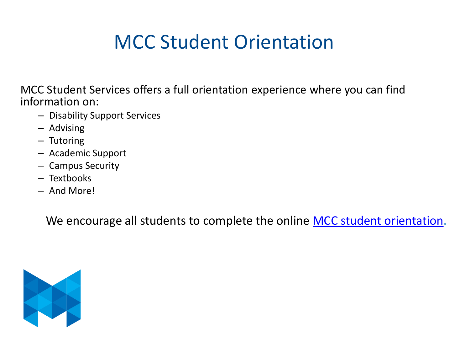## MCC Student Orientation

<span id="page-7-0"></span>MCC Student Services offers a full orientation experience where you can find information on:

- Disability Support Services
- Advising
- Tutoring
- Academic Support
- Campus Security
- Textbooks
- And More!

We encourage all students to complete the online [MCC student orientation.](https://www.mccneb.edu/Prospective-Students/Student-Tools-Resources/MCC-Student-Orientation)